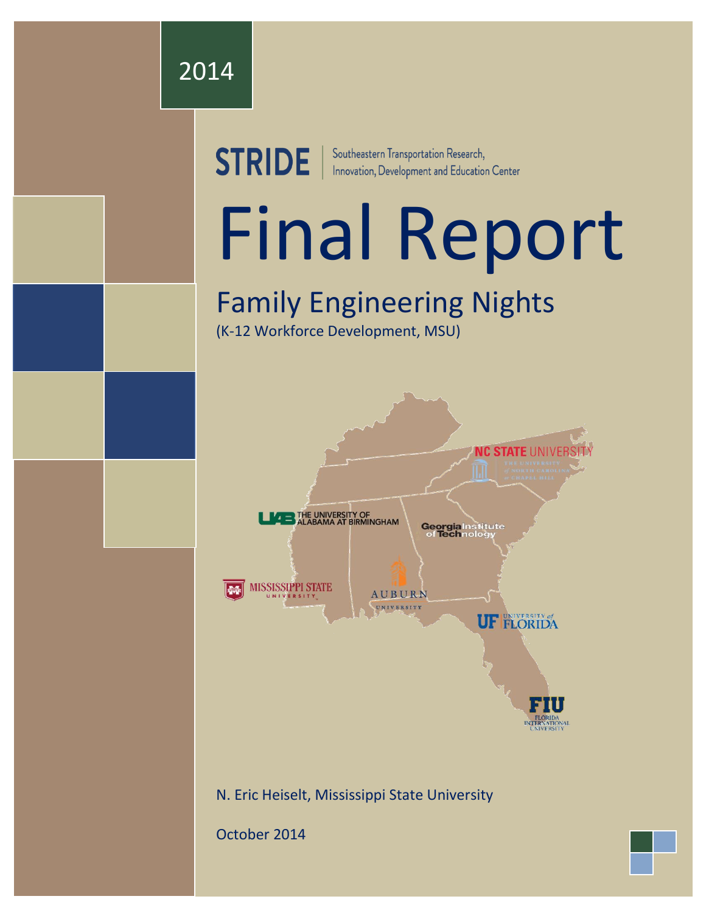

**STRIDE** | Southeastern Transportation Research,<br>
Innovation, Development and Education Center

# Final Report

# Family Engineering Nights

(K-12 Workforce Development, MSU)



October 2014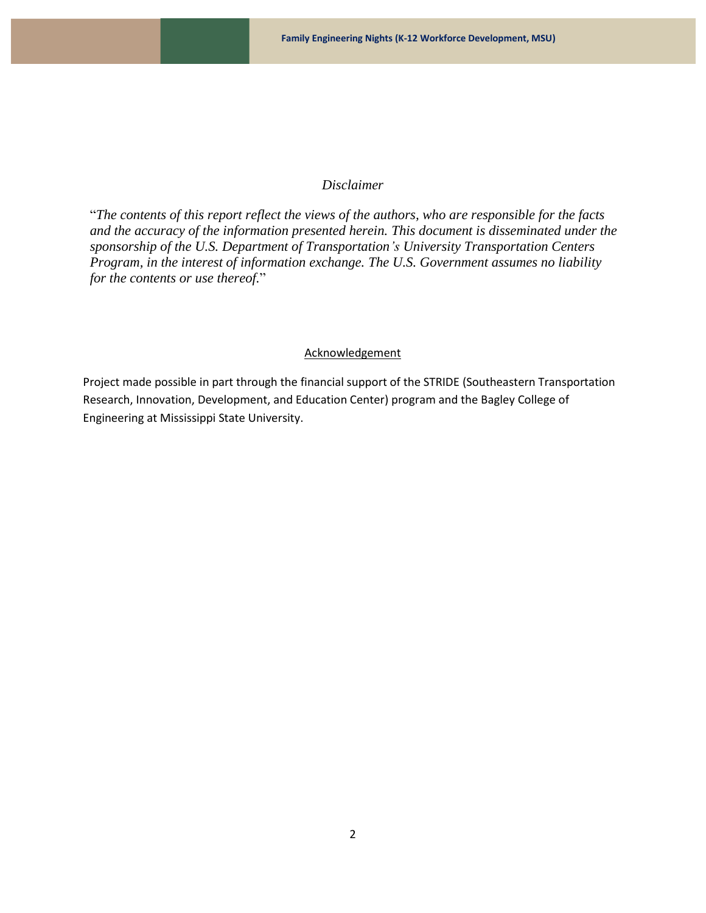#### *Disclaimer*

"*The contents of this report reflect the views of the authors, who are responsible for the facts and the accuracy of the information presented herein. This document is disseminated under the sponsorship of the U.S. Department of Transportation's University Transportation Centers Program, in the interest of information exchange. The U.S. Government assumes no liability for the contents or use thereof.*"

#### **Acknowledgement**

Project made possible in part through the financial support of the STRIDE (Southeastern Transportation Research, Innovation, Development, and Education Center) program and the Bagley College of Engineering at Mississippi State University.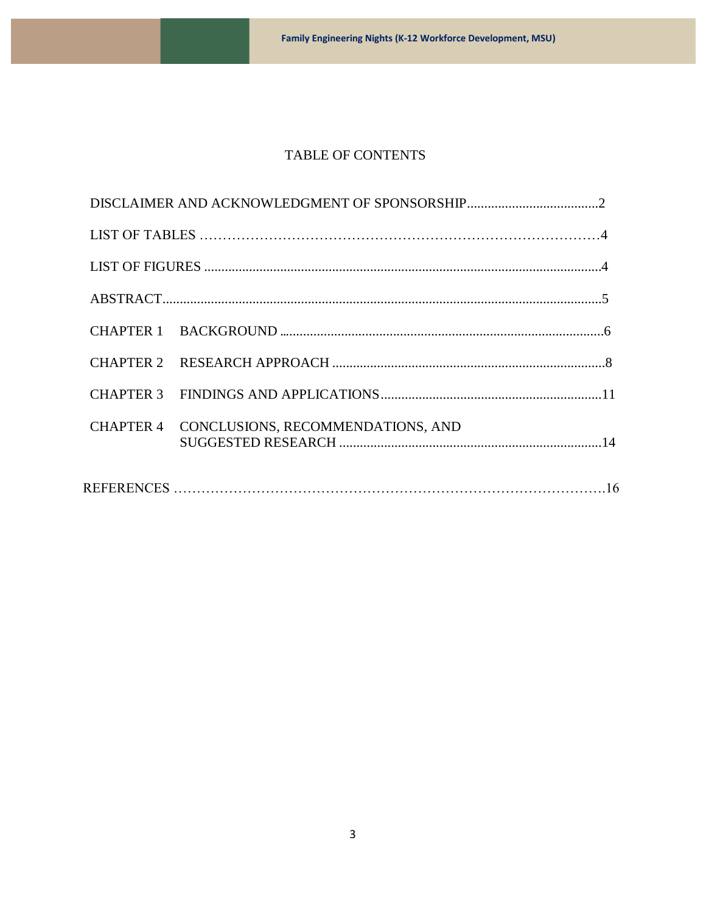# TABLE OF CONTENTS

| CHAPTER 4 CONCLUSIONS, RECOMMENDATIONS, AND |
|---------------------------------------------|
|                                             |
|                                             |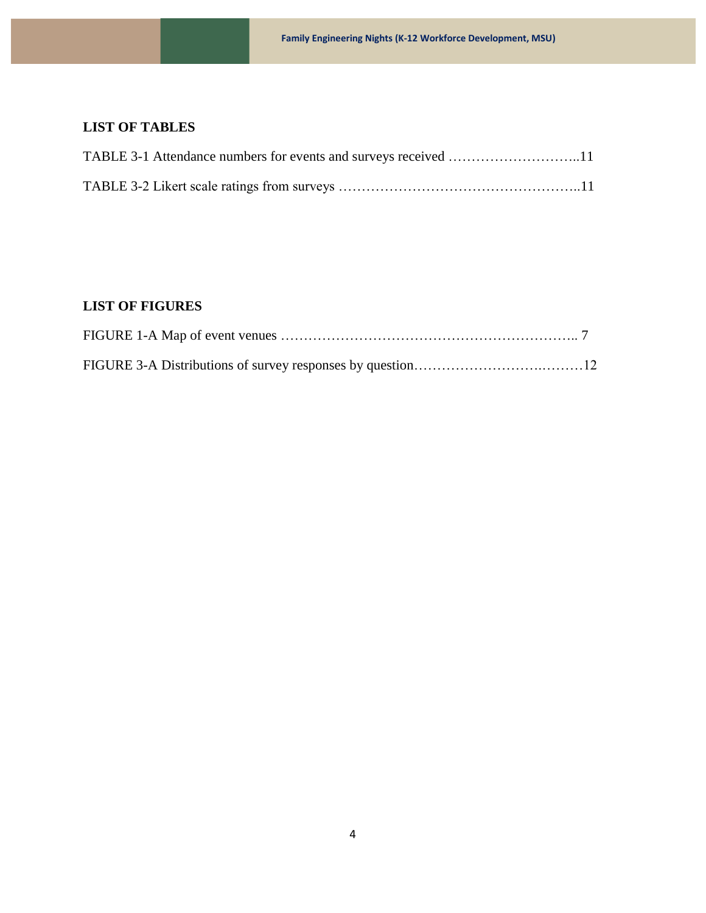# **LIST OF TABLES**

# **LIST OF FIGURES**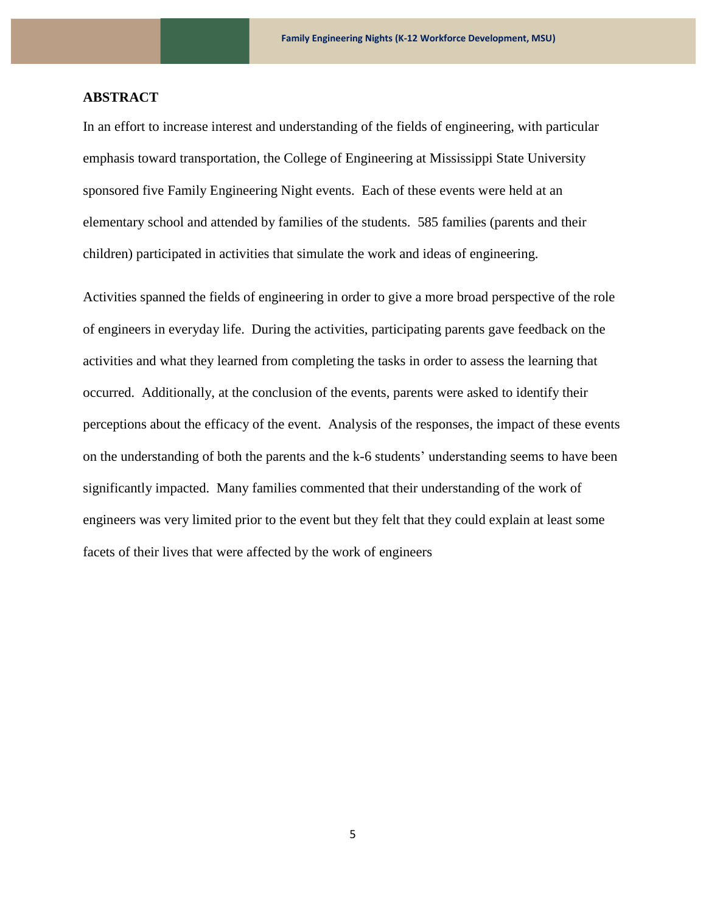#### **ABSTRACT**

In an effort to increase interest and understanding of the fields of engineering, with particular emphasis toward transportation, the College of Engineering at Mississippi State University sponsored five Family Engineering Night events. Each of these events were held at an elementary school and attended by families of the students. 585 families (parents and their children) participated in activities that simulate the work and ideas of engineering.

Activities spanned the fields of engineering in order to give a more broad perspective of the role of engineers in everyday life. During the activities, participating parents gave feedback on the activities and what they learned from completing the tasks in order to assess the learning that occurred. Additionally, at the conclusion of the events, parents were asked to identify their perceptions about the efficacy of the event. Analysis of the responses, the impact of these events on the understanding of both the parents and the k-6 students' understanding seems to have been significantly impacted. Many families commented that their understanding of the work of engineers was very limited prior to the event but they felt that they could explain at least some facets of their lives that were affected by the work of engineers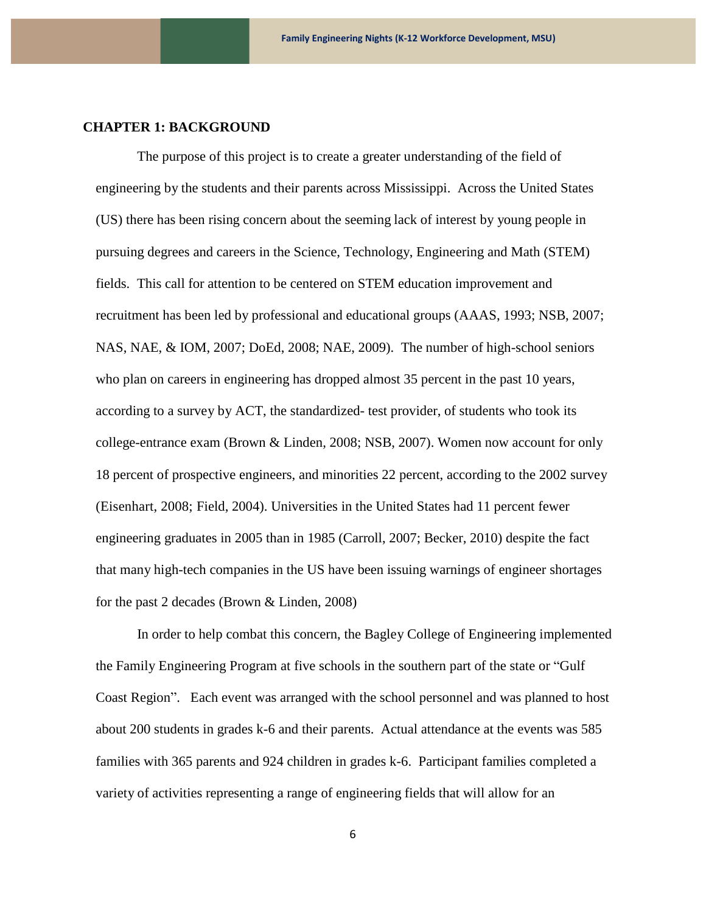#### **CHAPTER 1: BACKGROUND**

The purpose of this project is to create a greater understanding of the field of engineering by the students and their parents across Mississippi. Across the United States (US) there has been rising concern about the seeming lack of interest by young people in pursuing degrees and careers in the Science, Technology, Engineering and Math (STEM) fields. This call for attention to be centered on STEM education improvement and recruitment has been led by professional and educational groups (AAAS, 1993; NSB, 2007; NAS, NAE, & IOM, 2007; DoEd, 2008; NAE, 2009). The number of high-school seniors who plan on careers in engineering has dropped almost 35 percent in the past 10 years, according to a survey by ACT, the standardized- test provider, of students who took its college-entrance exam (Brown & Linden, 2008; NSB, 2007). Women now account for only 18 percent of prospective engineers, and minorities 22 percent, according to the 2002 survey (Eisenhart, 2008; Field, 2004). Universities in the United States had 11 percent fewer engineering graduates in 2005 than in 1985 (Carroll, 2007; Becker, 2010) despite the fact that many high-tech companies in the US have been issuing warnings of engineer shortages for the past 2 decades (Brown & Linden, 2008)

In order to help combat this concern, the Bagley College of Engineering implemented the Family Engineering Program at five schools in the southern part of the state or "Gulf Coast Region". Each event was arranged with the school personnel and was planned to host about 200 students in grades k-6 and their parents. Actual attendance at the events was 585 families with 365 parents and 924 children in grades k-6. Participant families completed a variety of activities representing a range of engineering fields that will allow for an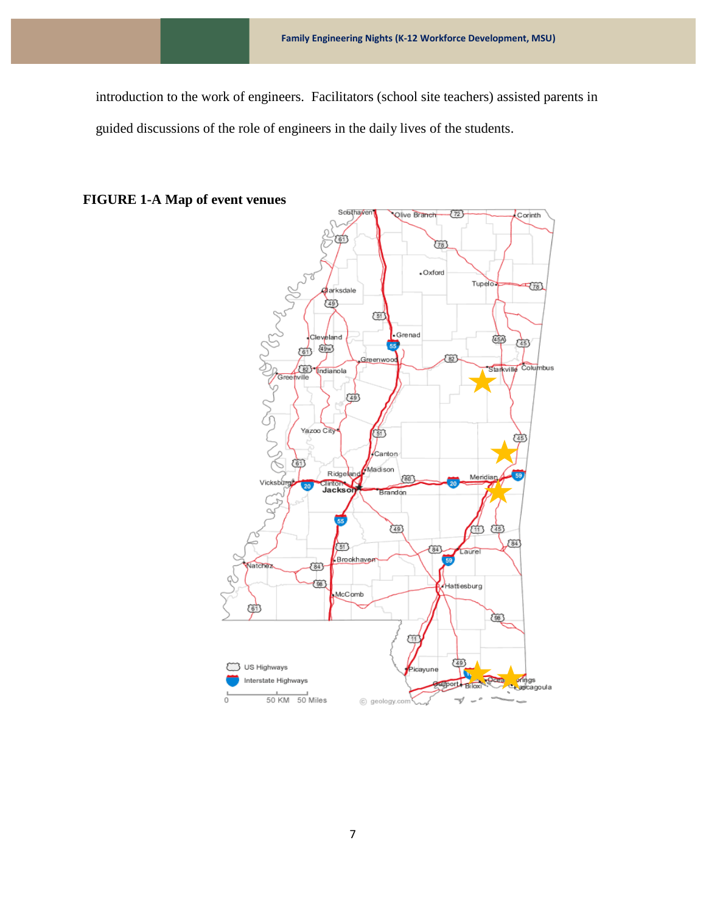introduction to the work of engineers. Facilitators (school site teachers) assisted parents in guided discussions of the role of engineers in the daily lives of the students.



### **FIGURE 1-A Map of event venues**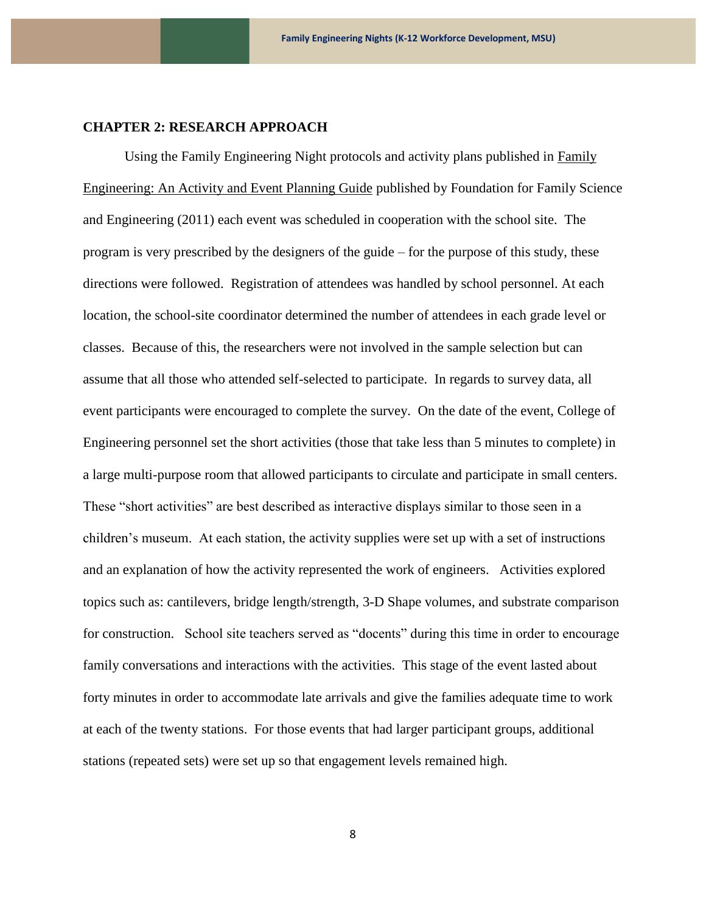#### **CHAPTER 2: RESEARCH APPROACH**

Using the Family Engineering Night protocols and activity plans published in Family Engineering: An Activity and Event Planning Guide published by Foundation for Family Science and Engineering (2011) each event was scheduled in cooperation with the school site. The program is very prescribed by the designers of the guide – for the purpose of this study, these directions were followed. Registration of attendees was handled by school personnel. At each location, the school-site coordinator determined the number of attendees in each grade level or classes. Because of this, the researchers were not involved in the sample selection but can assume that all those who attended self-selected to participate. In regards to survey data, all event participants were encouraged to complete the survey. On the date of the event, College of Engineering personnel set the short activities (those that take less than 5 minutes to complete) in a large multi-purpose room that allowed participants to circulate and participate in small centers. These "short activities" are best described as interactive displays similar to those seen in a children's museum. At each station, the activity supplies were set up with a set of instructions and an explanation of how the activity represented the work of engineers. Activities explored topics such as: cantilevers, bridge length/strength, 3-D Shape volumes, and substrate comparison for construction. School site teachers served as "docents" during this time in order to encourage family conversations and interactions with the activities. This stage of the event lasted about forty minutes in order to accommodate late arrivals and give the families adequate time to work at each of the twenty stations. For those events that had larger participant groups, additional stations (repeated sets) were set up so that engagement levels remained high.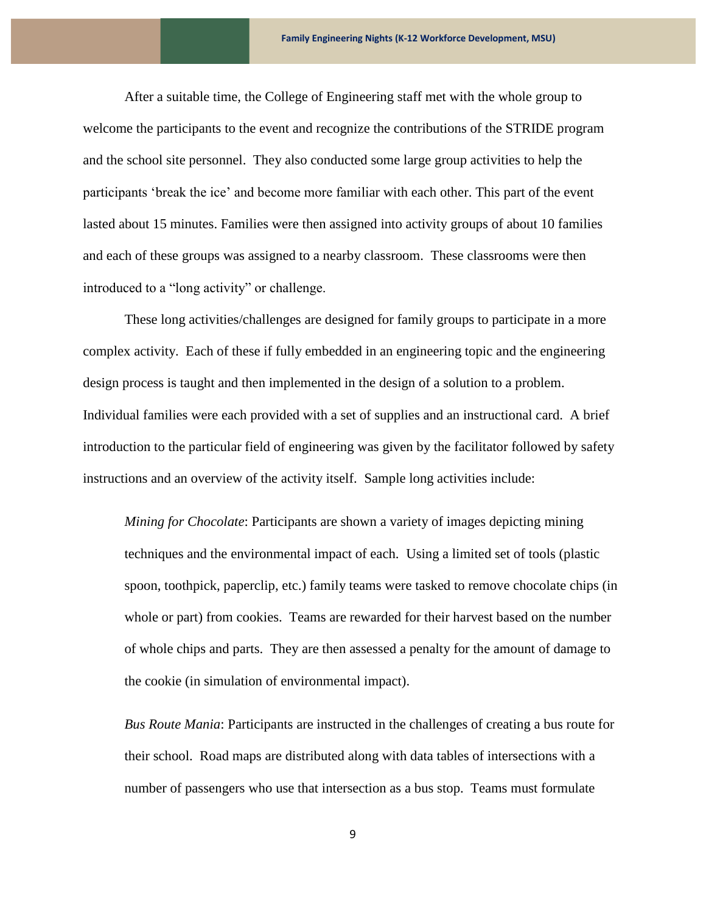After a suitable time, the College of Engineering staff met with the whole group to welcome the participants to the event and recognize the contributions of the STRIDE program and the school site personnel. They also conducted some large group activities to help the participants 'break the ice' and become more familiar with each other. This part of the event lasted about 15 minutes. Families were then assigned into activity groups of about 10 families and each of these groups was assigned to a nearby classroom. These classrooms were then introduced to a "long activity" or challenge.

These long activities/challenges are designed for family groups to participate in a more complex activity. Each of these if fully embedded in an engineering topic and the engineering design process is taught and then implemented in the design of a solution to a problem. Individual families were each provided with a set of supplies and an instructional card. A brief introduction to the particular field of engineering was given by the facilitator followed by safety instructions and an overview of the activity itself. Sample long activities include:

*Mining for Chocolate*: Participants are shown a variety of images depicting mining techniques and the environmental impact of each. Using a limited set of tools (plastic spoon, toothpick, paperclip, etc.) family teams were tasked to remove chocolate chips (in whole or part) from cookies. Teams are rewarded for their harvest based on the number of whole chips and parts. They are then assessed a penalty for the amount of damage to the cookie (in simulation of environmental impact).

*Bus Route Mania*: Participants are instructed in the challenges of creating a bus route for their school. Road maps are distributed along with data tables of intersections with a number of passengers who use that intersection as a bus stop. Teams must formulate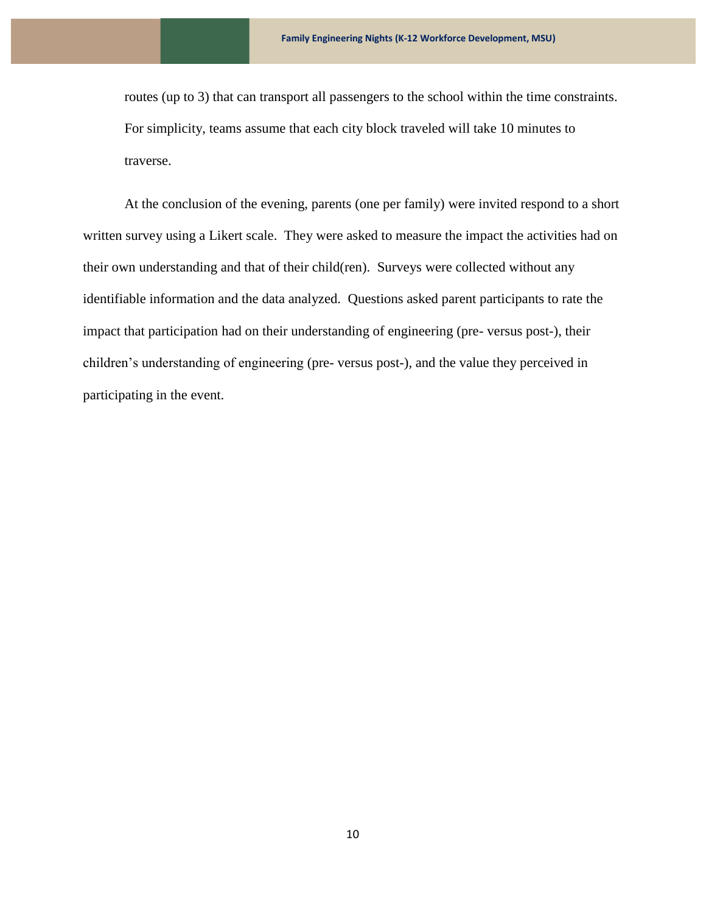routes (up to 3) that can transport all passengers to the school within the time constraints. For simplicity, teams assume that each city block traveled will take 10 minutes to traverse.

At the conclusion of the evening, parents (one per family) were invited respond to a short written survey using a Likert scale. They were asked to measure the impact the activities had on their own understanding and that of their child(ren). Surveys were collected without any identifiable information and the data analyzed. Questions asked parent participants to rate the impact that participation had on their understanding of engineering (pre- versus post-), their children's understanding of engineering (pre- versus post-), and the value they perceived in participating in the event.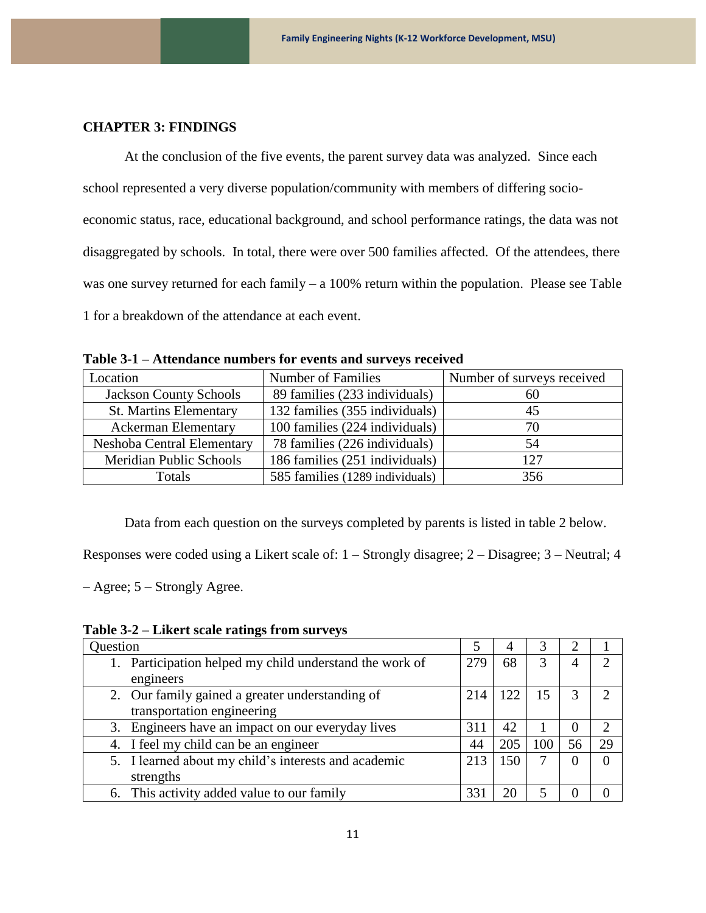#### **CHAPTER 3: FINDINGS**

At the conclusion of the five events, the parent survey data was analyzed. Since each school represented a very diverse population/community with members of differing socioeconomic status, race, educational background, and school performance ratings, the data was not disaggregated by schools. In total, there were over 500 families affected. Of the attendees, there was one survey returned for each family – a 100% return within the population. Please see Table 1 for a breakdown of the attendance at each event.

| Location                      | Number of Families              | Number of surveys received |
|-------------------------------|---------------------------------|----------------------------|
| <b>Jackson County Schools</b> | 89 families (233 individuals)   | 60                         |
| <b>St. Martins Elementary</b> | 132 families (355 individuals)  | 45                         |
| <b>Ackerman Elementary</b>    | 100 families (224 individuals)  | 70                         |
| Neshoba Central Elementary    | 78 families (226 individuals)   | 54                         |
| Meridian Public Schools       | 186 families (251 individuals)  | 127                        |
| <b>Totals</b>                 | 585 families (1289 individuals) | 356                        |

**Table 3-1 – Attendance numbers for events and surveys received** 

Data from each question on the surveys completed by parents is listed in table 2 below.

Responses were coded using a Likert scale of: 1 – Strongly disagree; 2 – Disagree; 3 – Neutral; 4

– Agree; 5 – Strongly Agree.

**Table 3-2 – Likert scale ratings from surveys**

| Question                                                |                 |     |     | っ        |    |
|---------------------------------------------------------|-----------------|-----|-----|----------|----|
| 1. Participation helped my child understand the work of | 279             | 68  | 3   | 4        |    |
| engineers                                               |                 |     |     |          |    |
| 2. Our family gained a greater understanding of         | 214             | 122 | 15  | 3        |    |
| transportation engineering                              |                 |     |     |          |    |
| 3. Engineers have an impact on our everyday lives       | 311             | 42  |     | 0        |    |
| 4. I feel my child can be an engineer                   | 44              | 205 | 100 | 56       | 29 |
| 5. I learned about my child's interests and academic    | 213             | 150 |     | $\theta$ |    |
| strengths                                               |                 |     |     |          |    |
| 6. This activity added value to our family              | 33 <sup>2</sup> |     |     |          |    |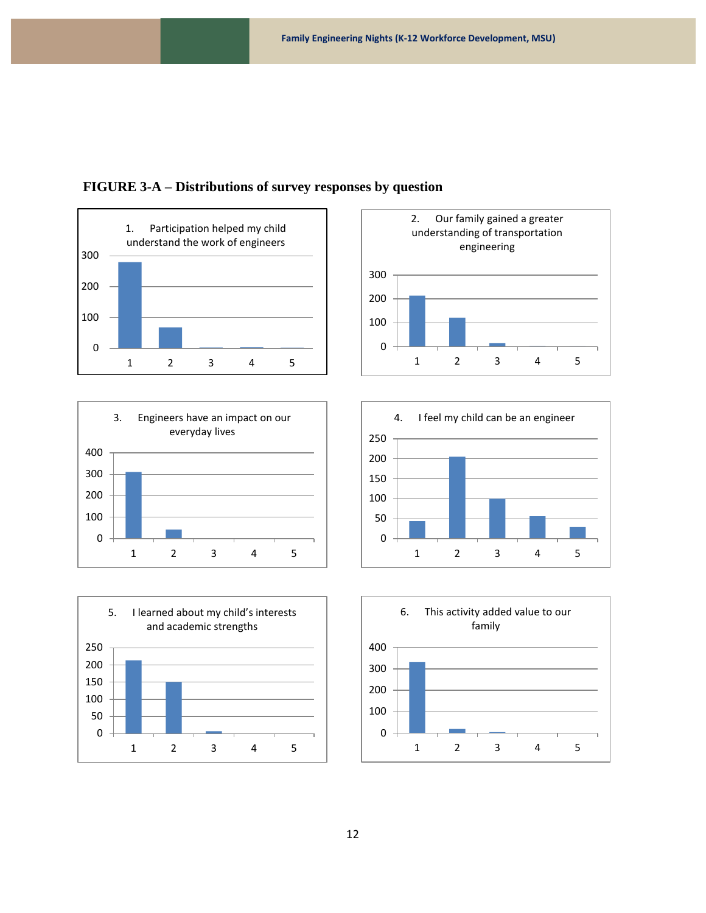











#### **FIGURE 3-A – Distributions of survey responses by question**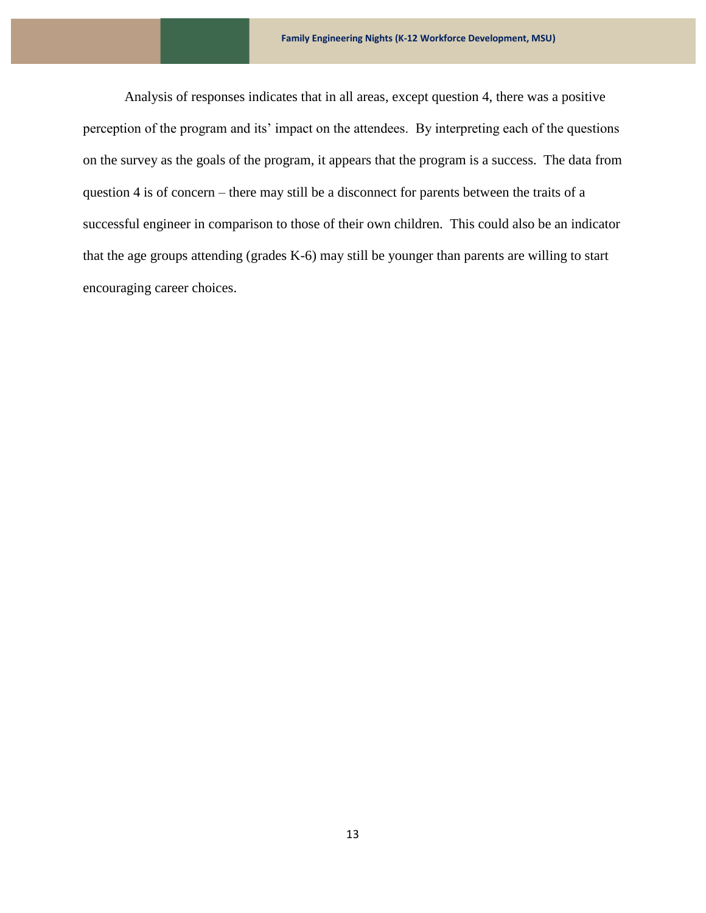Analysis of responses indicates that in all areas, except question 4, there was a positive perception of the program and its' impact on the attendees. By interpreting each of the questions on the survey as the goals of the program, it appears that the program is a success. The data from question 4 is of concern – there may still be a disconnect for parents between the traits of a successful engineer in comparison to those of their own children. This could also be an indicator that the age groups attending (grades K-6) may still be younger than parents are willing to start encouraging career choices.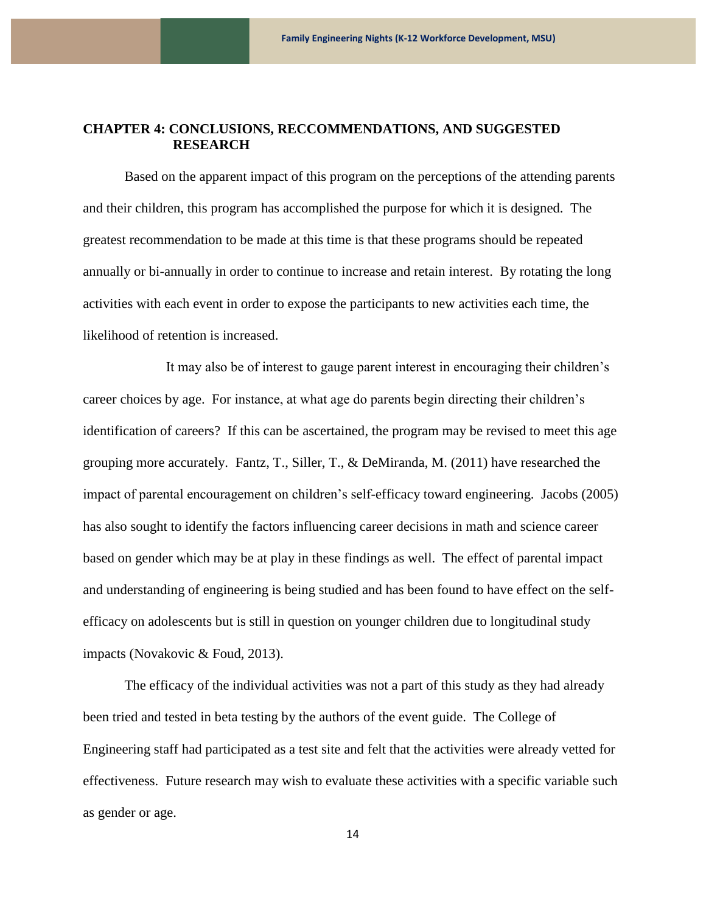#### **CHAPTER 4: CONCLUSIONS, RECCOMMENDATIONS, AND SUGGESTED RESEARCH**

Based on the apparent impact of this program on the perceptions of the attending parents and their children, this program has accomplished the purpose for which it is designed. The greatest recommendation to be made at this time is that these programs should be repeated annually or bi-annually in order to continue to increase and retain interest. By rotating the long activities with each event in order to expose the participants to new activities each time, the likelihood of retention is increased.

It may also be of interest to gauge parent interest in encouraging their children's career choices by age. For instance, at what age do parents begin directing their children's identification of careers? If this can be ascertained, the program may be revised to meet this age grouping more accurately. Fantz, T., Siller, T., & DeMiranda, M. (2011) have researched the impact of parental encouragement on children's self-efficacy toward engineering. Jacobs (2005) has also sought to identify the factors influencing career decisions in math and science career based on gender which may be at play in these findings as well. The effect of parental impact and understanding of engineering is being studied and has been found to have effect on the selfefficacy on adolescents but is still in question on younger children due to longitudinal study impacts (Novakovic & Foud, 2013).

The efficacy of the individual activities was not a part of this study as they had already been tried and tested in beta testing by the authors of the event guide. The College of Engineering staff had participated as a test site and felt that the activities were already vetted for effectiveness. Future research may wish to evaluate these activities with a specific variable such as gender or age.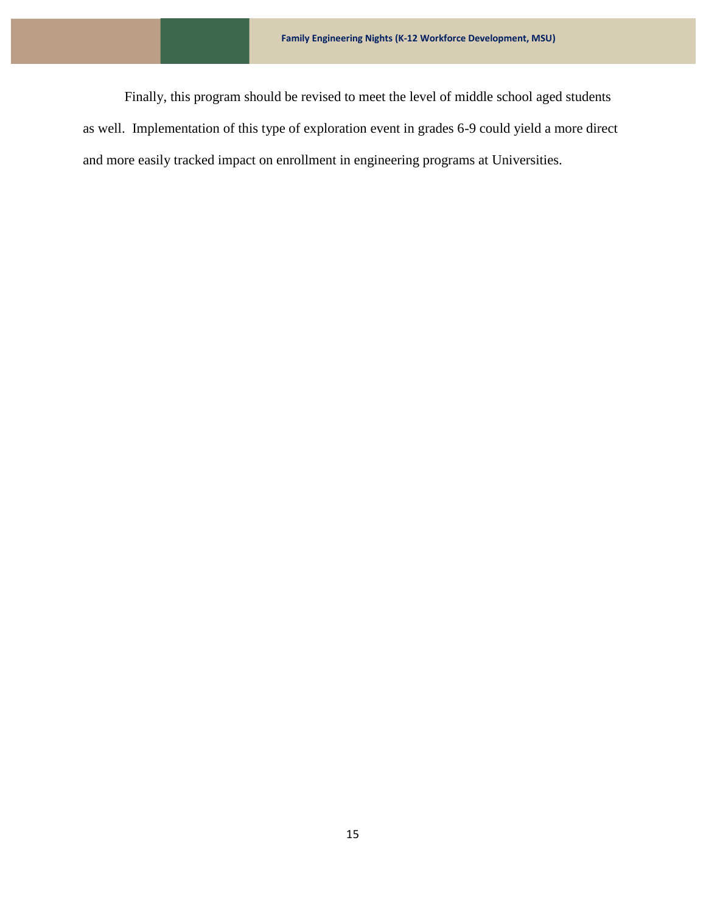Finally, this program should be revised to meet the level of middle school aged students as well. Implementation of this type of exploration event in grades 6-9 could yield a more direct and more easily tracked impact on enrollment in engineering programs at Universities.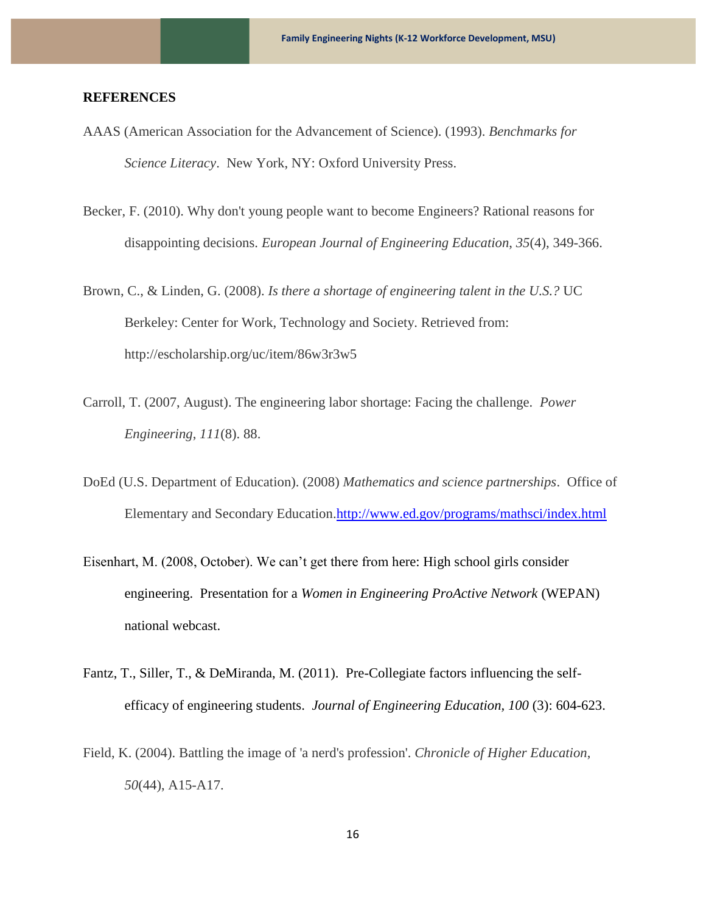#### **REFERENCES**

- AAAS (American Association for the Advancement of Science). (1993). *Benchmarks for Science Literacy*. New York, NY: Oxford University Press.
- Becker, F. (2010). Why don't young people want to become Engineers? Rational reasons for disappointing decisions. *European Journal of Engineering Education*, *35*(4), 349-366.
- Brown, C., & Linden, G. (2008). *Is there a shortage of engineering talent in the U.S.?* UC Berkeley: Center for Work, Technology and Society. Retrieved from: http://escholarship.org/uc/item/86w3r3w5
- Carroll, T. (2007, August). The engineering labor shortage: Facing the challenge. *Power Engineering*, *111*(8). 88.
- DoEd (U.S. Department of Education). (2008) *Mathematics and science partnerships*. Office of Elementary and Secondary Education[.http://www.ed.gov/programs/mathsci/index.html](http://www.ed.gov/programs/mathsci/index.html)
- Eisenhart, M. (2008, October). We can't get there from here: High school girls consider engineering. Presentation for a *Women in Engineering ProActive Network* (WEPAN) national webcast.
- Fantz, T., Siller, T., & DeMiranda, M. (2011). Pre-Collegiate factors influencing the selfefficacy of engineering students. *Journal of Engineering Education, 100* (3): 604-623.
- Field, K. (2004). Battling the image of 'a nerd's profession'. *Chronicle of Higher Education*, *50*(44), A15-A17.